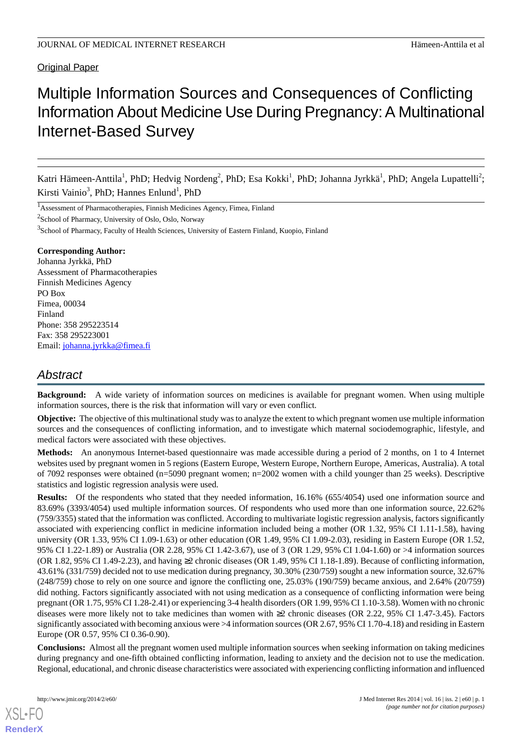# **Original Paper**

# Multiple Information Sources and Consequences of Conflicting Information About Medicine Use During Pregnancy:A Multinational Internet-Based Survey

Katri Hämeen-Anttila<sup>1</sup>, PhD; Hedvig Nordeng<sup>2</sup>, PhD; Esa Kokki<sup>1</sup>, PhD; Johanna Jyrkkä<sup>1</sup>, PhD; Angela Lupattelli<sup>2</sup>; Kirsti Vainio<sup>3</sup>, PhD; Hannes Enlund<sup>1</sup>, PhD

<sup>1</sup>Assessment of Pharmacotherapies, Finnish Medicines Agency, Fimea, Finland

<sup>2</sup>School of Pharmacy, University of Oslo, Oslo, Norway

<sup>3</sup>School of Pharmacy, Faculty of Health Sciences, University of Eastern Finland, Kuopio, Finland

### **Corresponding Author:**

Johanna Jyrkkä, PhD Assessment of Pharmacotherapies Finnish Medicines Agency PO Box Fimea, 00034 Finland Phone: 358 295223514 Fax: 358 295223001 Email: [johanna.jyrkka@fimea.fi](mailto:johanna.jyrkka@fimea.fi)

# *Abstract*

**Background:** A wide variety of information sources on medicines is available for pregnant women. When using multiple information sources, there is the risk that information will vary or even conflict.

**Objective:** The objective of this multinational study was to analyze the extent to which pregnant women use multiple information sources and the consequences of conflicting information, and to investigate which maternal sociodemographic, lifestyle, and medical factors were associated with these objectives.

**Methods:** An anonymous Internet-based questionnaire was made accessible during a period of 2 months, on 1 to 4 Internet websites used by pregnant women in 5 regions (Eastern Europe, Western Europe, Northern Europe, Americas, Australia). A total of 7092 responses were obtained (n=5090 pregnant women; n=2002 women with a child younger than 25 weeks). Descriptive statistics and logistic regression analysis were used.

**Results:** Of the respondents who stated that they needed information, 16.16% (655/4054) used one information source and 83.69% (3393/4054) used multiple information sources. Of respondents who used more than one information source, 22.62% (759/3355) stated that the information was conflicted. According to multivariate logistic regression analysis, factors significantly associated with experiencing conflict in medicine information included being a mother (OR 1.32, 95% CI 1.11-1.58), having university (OR 1.33, 95% CI 1.09-1.63) or other education (OR 1.49, 95% CI 1.09-2.03), residing in Eastern Europe (OR 1.52, 95% CI 1.22-1.89) or Australia (OR 2.28, 95% CI 1.42-3.67), use of 3 (OR 1.29, 95% CI 1.04-1.60) or >4 information sources (OR 1.82, 95% CI 1.49-2.23), and having ≥2 chronic diseases (OR 1.49, 95% CI 1.18-1.89). Because of conflicting information, 43.61% (331/759) decided not to use medication during pregnancy, 30.30% (230/759) sought a new information source, 32.67% (248/759) chose to rely on one source and ignore the conflicting one, 25.03% (190/759) became anxious, and 2.64% (20/759) did nothing. Factors significantly associated with not using medication as a consequence of conflicting information were being pregnant (OR 1.75, 95% CI 1.28-2.41) or experiencing 3-4 health disorders (OR 1.99, 95% CI 1.10-3.58). Women with no chronic diseases were more likely not to take medicines than women with ≥2 chronic diseases (OR 2.22, 95% CI 1.47-3.45). Factors significantly associated with becoming anxious were >4 information sources (OR 2.67, 95% CI 1.70-4.18) and residing in Eastern Europe (OR 0.57, 95% CI 0.36-0.90).

**Conclusions:** Almost all the pregnant women used multiple information sources when seeking information on taking medicines during pregnancy and one-fifth obtained conflicting information, leading to anxiety and the decision not to use the medication. Regional, educational, and chronic disease characteristics were associated with experiencing conflicting information and influenced

[XSL](http://www.w3.org/Style/XSL)•FO **[RenderX](http://www.renderx.com/)**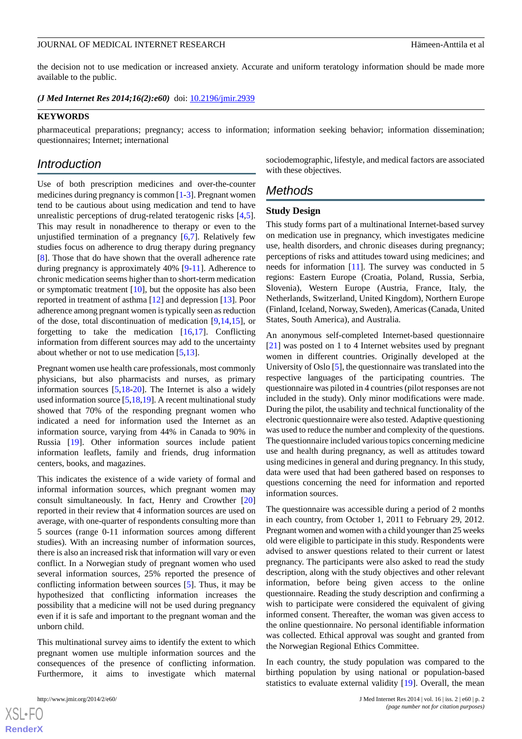the decision not to use medication or increased anxiety. Accurate and uniform teratology information should be made more available to the public.

*(J Med Internet Res 2014;16(2):e60)* doi:  $10.2196/$ jmir.2939

### **KEYWORDS**

pharmaceutical preparations; pregnancy; access to information; information seeking behavior; information dissemination; questionnaires; Internet; international

# *Introduction*

Use of both prescription medicines and over-the-counter medicines during pregnancy is common [\[1](#page-8-0)-[3\]](#page-8-1). Pregnant women tend to be cautious about using medication and tend to have unrealistic perceptions of drug-related teratogenic risks [\[4](#page-8-2),[5\]](#page-8-3). This may result in nonadherence to therapy or even to the unjustified termination of a pregnancy [[6](#page-8-4)[,7](#page-8-5)]. Relatively few studies focus on adherence to drug therapy during pregnancy [[8\]](#page-8-6). Those that do have shown that the overall adherence rate during pregnancy is approximately 40% [[9-](#page-8-7)[11\]](#page-8-8). Adherence to chronic medication seems higher than to short-term medication or symptomatic treatment [\[10](#page-8-9)], but the opposite has also been reported in treatment of asthma [\[12](#page-8-10)] and depression [\[13](#page-8-11)]. Poor adherence among pregnant women is typically seen as reduction of the dose, total discontinuation of medication [[9,](#page-8-7)[14,](#page-8-12)[15\]](#page-8-13), or forgetting to take the medication  $[16,17]$  $[16,17]$  $[16,17]$ . Conflicting information from different sources may add to the uncertainty about whether or not to use medication [\[5](#page-8-3),[13\]](#page-8-11).

Pregnant women use health care professionals, most commonly physicians, but also pharmacists and nurses, as primary information sources [[5](#page-8-3)[,18](#page-9-1)-[20\]](#page-9-2). The Internet is also a widely used information source [[5,](#page-8-3)[18](#page-9-1)[,19](#page-9-3)]. A recent multinational study showed that 70% of the responding pregnant women who indicated a need for information used the Internet as an information source, varying from 44% in Canada to 90% in Russia [\[19](#page-9-3)]. Other information sources include patient information leaflets, family and friends, drug information centers, books, and magazines.

This indicates the existence of a wide variety of formal and informal information sources, which pregnant women may consult simultaneously. In fact, Henry and Crowther [\[20](#page-9-2)] reported in their review that 4 information sources are used on average, with one-quarter of respondents consulting more than 5 sources (range 0-11 information sources among different studies). With an increasing number of information sources, there is also an increased risk that information will vary or even conflict. In a Norwegian study of pregnant women who used several information sources, 25% reported the presence of conflicting information between sources [[5\]](#page-8-3). Thus, it may be hypothesized that conflicting information increases the possibility that a medicine will not be used during pregnancy even if it is safe and important to the pregnant woman and the unborn child.

This multinational survey aims to identify the extent to which pregnant women use multiple information sources and the consequences of the presence of conflicting information. Furthermore, it aims to investigate which maternal

sociodemographic, lifestyle, and medical factors are associated with these objectives.

# *Methods*

#### **Study Design**

This study forms part of a multinational Internet-based survey on medication use in pregnancy, which investigates medicine use, health disorders, and chronic diseases during pregnancy; perceptions of risks and attitudes toward using medicines; and needs for information [[11\]](#page-8-8). The survey was conducted in 5 regions: Eastern Europe (Croatia, Poland, Russia, Serbia, Slovenia), Western Europe (Austria, France, Italy, the Netherlands, Switzerland, United Kingdom), Northern Europe (Finland, Iceland, Norway, Sweden), Americas (Canada, United States, South America), and Australia.

An anonymous self-completed Internet-based questionnaire [[21\]](#page-9-4) was posted on 1 to 4 Internet websites used by pregnant women in different countries. Originally developed at the University of Oslo [[5\]](#page-8-3), the questionnaire was translated into the respective languages of the participating countries. The questionnaire was piloted in 4 countries (pilot responses are not included in the study). Only minor modifications were made. During the pilot, the usability and technical functionality of the electronic questionnaire were also tested. Adaptive questioning was used to reduce the number and complexity of the questions. The questionnaire included various topics concerning medicine use and health during pregnancy, as well as attitudes toward using medicines in general and during pregnancy. In this study, data were used that had been gathered based on responses to questions concerning the need for information and reported information sources.

The questionnaire was accessible during a period of 2 months in each country, from October 1, 2011 to February 29, 2012. Pregnant women and women with a child younger than 25 weeks old were eligible to participate in this study. Respondents were advised to answer questions related to their current or latest pregnancy. The participants were also asked to read the study description, along with the study objectives and other relevant information, before being given access to the online questionnaire. Reading the study description and confirming a wish to participate were considered the equivalent of giving informed consent. Thereafter, the woman was given access to the online questionnaire. No personal identifiable information was collected. Ethical approval was sought and granted from the Norwegian Regional Ethics Committee.

In each country, the study population was compared to the birthing population by using national or population-based statistics to evaluate external validity [[19\]](#page-9-3). Overall, the mean

[XSL](http://www.w3.org/Style/XSL)•FO **[RenderX](http://www.renderx.com/)**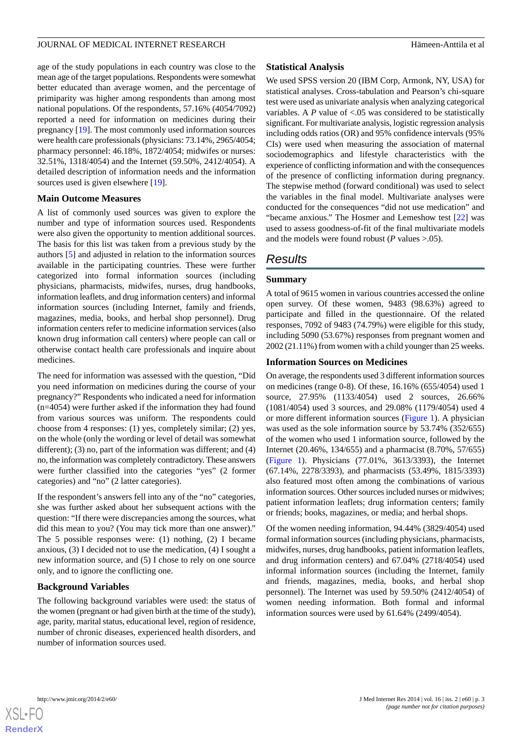age of the study populations in each country was close to the mean age of the target populations. Respondents were somewhat better educated than average women, and the percentage of primiparity was higher among respondents than among most national populations. Of the respondents, 57.16% (4054/7092) reported a need for information on medicines during their pregnancy [\[19](#page-9-3)]. The most commonly used information sources were health care professionals (physicians: 73.14%, 2965/4054; pharmacy personnel: 46.18%, 1872/4054; midwifes or nurses: 32.51%, 1318/4054) and the Internet (59.50%, 2412/4054). A detailed description of information needs and the information sources used is given elsewhere [[19\]](#page-9-3).

### **Main Outcome Measures**

A list of commonly used sources was given to explore the number and type of information sources used. Respondents were also given the opportunity to mention additional sources. The basis for this list was taken from a previous study by the authors [\[5](#page-8-3)] and adjusted in relation to the information sources available in the participating countries. These were further categorized into formal information sources (including physicians, pharmacists, midwifes, nurses, drug handbooks, information leaflets, and drug information centers) and informal information sources (including Internet, family and friends, magazines, media, books, and herbal shop personnel). Drug information centers refer to medicine information services (also known drug information call centers) where people can call or otherwise contact health care professionals and inquire about medicines.

The need for information was assessed with the question, "Did you need information on medicines during the course of your pregnancy?" Respondents who indicated a need for information (n=4054) were further asked if the information they had found from various sources was uniform. The respondents could choose from 4 responses: (1) yes, completely similar; (2) yes, on the whole (only the wording or level of detail was somewhat different); (3) no, part of the information was different; and (4) no, the information was completely contradictory. These answers were further classified into the categories "yes" (2 former categories) and "no" (2 latter categories).

If the respondent's answers fell into any of the "no" categories, she was further asked about her subsequent actions with the question: "If there were discrepancies among the sources, what did this mean to you? (You may tick more than one answer)." The 5 possible responses were: (1) nothing, (2) I became anxious, (3) I decided not to use the medication, (4) I sought a new information source, and (5) I chose to rely on one source only, and to ignore the conflicting one.

### **Background Variables**

The following background variables were used: the status of the women (pregnant or had given birth at the time of the study), age, parity, marital status, educational level, region of residence, number of chronic diseases, experienced health disorders, and number of information sources used.

### **Statistical Analysis**

We used SPSS version 20 (IBM Corp, Armonk, NY, USA) for statistical analyses. Cross-tabulation and Pearson's chi-square test were used as univariate analysis when analyzing categorical variables. A *P* value of <.05 was considered to be statistically significant. For multivariate analysis, logistic regression analysis including odds ratios (OR) and 95% confidence intervals (95% CIs) were used when measuring the association of maternal sociodemographics and lifestyle characteristics with the experience of conflicting information and with the consequences of the presence of conflicting information during pregnancy. The stepwise method (forward conditional) was used to select the variables in the final model. Multivariate analyses were conducted for the consequences "did not use medication" and "became anxious." The Hosmer and Lemeshow test [[22\]](#page-9-5) was used to assess goodness-of-fit of the final multivariate models and the models were found robust ( $P$  values  $> 0.05$ ).

# *Results*

# **Summary**

A total of 9615 women in various countries accessed the online open survey. Of these women, 9483 (98.63%) agreed to participate and filled in the questionnaire. Of the related responses, 7092 of 9483 (74.79%) were eligible for this study, including 5090 (53.67%) responses from pregnant women and 2002 (21.11%) from women with a child younger than 25 weeks.

# **Information Sources on Medicines**

On average, the respondents used 3 different information sources on medicines (range 0-8). Of these, 16.16% (655/4054) used 1 source, 27.95% (1133/4054) used 2 sources, 26.66% (1081/4054) used 3 sources, and 29.08% (1179/4054) used 4 or more different information sources ([Figure 1\)](#page-3-0). A physician was used as the sole information source by 53.74% (352/655) of the women who used 1 information source, followed by the Internet (20.46%, 134/655) and a pharmacist (8.70%, 57/655) ([Figure 1](#page-3-0)). Physicians (77.01%, 3613/3393), the Internet (67.14%, 2278/3393), and pharmacists (53.49%, 1815/3393) also featured most often among the combinations of various information sources. Other sources included nurses or midwives; patient information leaflets; drug information centers; family or friends; books, magazines, or media; and herbal shops.

Of the women needing information, 94.44% (3829/4054) used formal information sources (including physicians, pharmacists, midwifes, nurses, drug handbooks, patient information leaflets, and drug information centers) and 67.04% (2718/4054) used informal information sources (including the Internet, family and friends, magazines, media, books, and herbal shop personnel). The Internet was used by 59.50% (2412/4054) of women needing information. Both formal and informal information sources were used by 61.64% (2499/4054).

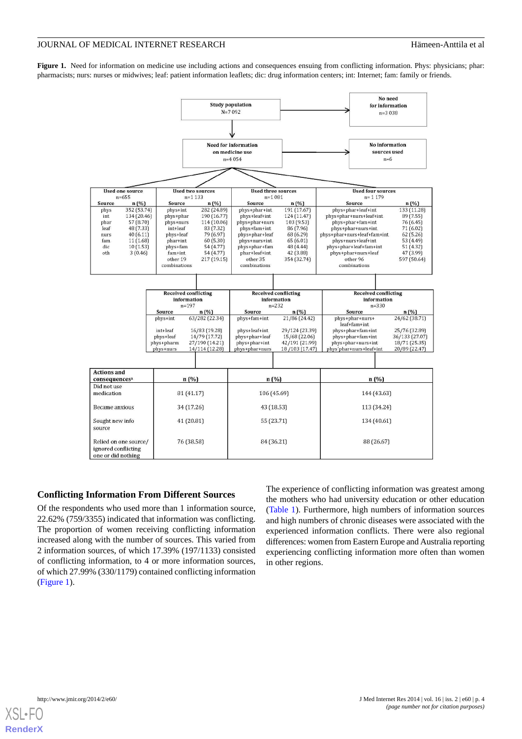<span id="page-3-0"></span>Figure 1. Need for information on medicine use including actions and consequences ensuing from conflicting information. Phys: physicians; phar: pharmacists; nurs: nurses or midwives; leaf: patient information leaflets; dic: drug information centers; int: Internet; fam: family or friends.



# **Conflicting Information From Different Sources**

Of the respondents who used more than 1 information source, 22.62% (759/3355) indicated that information was conflicting. The proportion of women receiving conflicting information increased along with the number of sources. This varied from 2 information sources, of which 17.39% (197/1133) consisted of conflicting information, to 4 or more information sources, of which 27.99% (330/1179) contained conflicting information ([Figure 1\)](#page-3-0).

The experience of conflicting information was greatest among the mothers who had university education or other education ([Table 1](#page-4-0)). Furthermore, high numbers of information sources and high numbers of chronic diseases were associated with the experienced information conflicts. There were also regional differences: women from Eastern Europe and Australia reporting experiencing conflicting information more often than women in other regions.

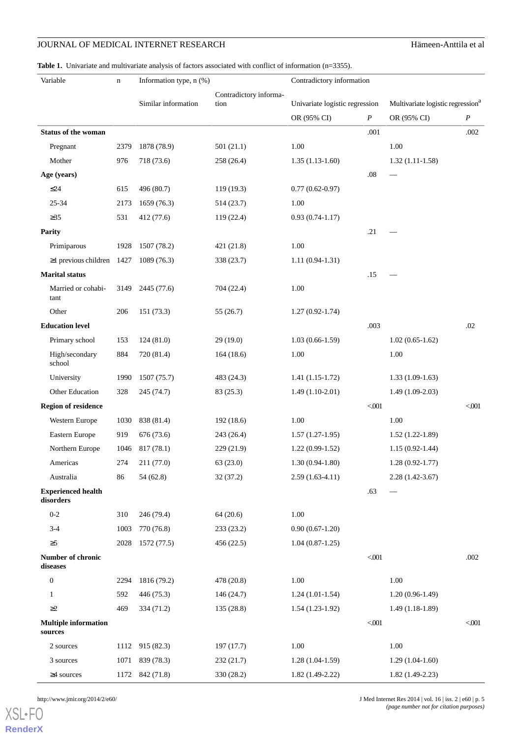#### <span id="page-4-0"></span>Table 1. Univariate and multivariate analysis of factors associated with conflict of information (n=3355).

| Variable                               | $\mathbf n$ | Information type, n (%) |                                | Contradictory information      |         |                                               |                  |
|----------------------------------------|-------------|-------------------------|--------------------------------|--------------------------------|---------|-----------------------------------------------|------------------|
|                                        |             | Similar information     | Contradictory informa-<br>tion |                                |         |                                               |                  |
|                                        |             |                         |                                | Univariate logistic regression |         | Multivariate logistic regression <sup>a</sup> |                  |
|                                        |             |                         |                                | OR (95% CI)                    | P       | OR (95% CI)                                   | $\boldsymbol{P}$ |
| <b>Status of the woman</b>             |             |                         |                                |                                | .001    |                                               | .002             |
| Pregnant                               | 2379        | 1878 (78.9)             | 501(21.1)                      | 1.00                           |         | 1.00                                          |                  |
| Mother                                 | 976         | 718 (73.6)              | 258 (26.4)                     | $1.35(1.13-1.60)$              |         | $1.32(1.11-1.58)$                             |                  |
| Age (years)                            |             |                         |                                |                                | .08     | $\overline{\phantom{0}}$                      |                  |
| $\leq$ 24                              | 615         | 496 (80.7)              | 119(19.3)                      | $0.77(0.62-0.97)$              |         |                                               |                  |
| 25-34                                  | 2173        | 1659 (76.3)             | 514 (23.7)                     | 1.00                           |         |                                               |                  |
| $\geq 35$                              | 531         | 412 (77.6)              | 119 (22.4)                     | $0.93(0.74-1.17)$              |         |                                               |                  |
| <b>Parity</b>                          |             |                         |                                |                                | .21     |                                               |                  |
| Primiparous                            | 1928        | 1507 (78.2)             | 421 (21.8)                     | 1.00                           |         |                                               |                  |
| $\geq$ 1 previous children 1427        |             | 1089(76.3)              | 338 (23.7)                     | $1.11(0.94-1.31)$              |         |                                               |                  |
| <b>Marital</b> status                  |             |                         |                                |                                | .15     |                                               |                  |
| Married or cohabi-<br>tant             | 3149        | 2445 (77.6)             | 704 (22.4)                     | 1.00                           |         |                                               |                  |
| Other                                  | 206         | 151 (73.3)              | 55(26.7)                       | $1.27(0.92 - 1.74)$            |         |                                               |                  |
| <b>Education level</b>                 |             |                         |                                |                                | .003    |                                               | .02              |
| Primary school                         | 153         | 124(81.0)               | 29(19.0)                       | $1.03(0.66-1.59)$              |         | $1.02(0.65-1.62)$                             |                  |
| High/secondary<br>school               | 884         | 720 (81.4)              | 164(18.6)                      | 1.00                           |         | 1.00                                          |                  |
| University                             | 1990        | 1507 (75.7)             | 483 (24.3)                     | $1.41(1.15-1.72)$              |         | $1.33(1.09-1.63)$                             |                  |
| Other Education                        | 328         | 245 (74.7)              | 83(25.3)                       | $1.49(1.10-2.01)$              |         | $1.49(1.09-2.03)$                             |                  |
| <b>Region of residence</b>             |             |                         |                                |                                | < 001   |                                               | < 001            |
| Western Europe                         | 1030        | 838 (81.4)              | 192 (18.6)                     | 1.00                           |         | 1.00                                          |                  |
| Eastern Europe                         | 919         | 676 (73.6)              | 243 (26.4)                     | $1.57(1.27-1.95)$              |         | $1.52(1.22-1.89)$                             |                  |
| Northern Europe                        | 1046        | 817(78.1)               | 229 (21.9)                     | $1.22(0.99-1.52)$              |         | $1.15(0.92 - 1.44)$                           |                  |
| Americas                               | 274         | 211 (77.0)              | 63 (23.0)                      | $1.30(0.94-1.80)$              |         | $1.28(0.92 - 1.77)$                           |                  |
| Australia                              | 86          | 54(62.8)                | 32(37.2)                       | $2.59(1.63-4.11)$              |         | $2.28(1.42 - 3.67)$                           |                  |
| <b>Experienced health</b><br>disorders |             |                         |                                |                                | .63     |                                               |                  |
| $0 - 2$                                | 310         | 246 (79.4)              | 64(20.6)                       | 1.00                           |         |                                               |                  |
| $3 - 4$                                | 1003        | 770 (76.8)              | 233 (23.2)                     | $0.90(0.67-1.20)$              |         |                                               |                  |
| $\geq 5$                               | 2028        | 1572 (77.5)             | 456 (22.5)                     | $1.04(0.87-1.25)$              |         |                                               |                  |
| Number of chronic<br>diseases          |             |                         |                                |                                | $<0.01$ |                                               | .002             |
| $\boldsymbol{0}$                       | 2294        | 1816 (79.2)             | 478 (20.8)                     | 1.00                           |         | 1.00                                          |                  |
| $\mathbf{1}$                           | 592         | 446 (75.3)              | 146(24.7)                      | $1.24(1.01-1.54)$              |         | $1.20(0.96-1.49)$                             |                  |
| $\geq$ 2                               | 469         | 334 (71.2)              | 135 (28.8)                     | $1.54(1.23-1.92)$              |         | $1.49(1.18-1.89)$                             |                  |
| <b>Multiple information</b><br>sources |             |                         |                                |                                | $<001$  |                                               | < 001            |
| 2 sources                              | 1112        | 915 (82.3)              | 197 (17.7)                     | 1.00                           |         | 1.00                                          |                  |
| 3 sources                              | 1071        | 839 (78.3)              | 232(21.7)                      | $1.28(1.04-1.59)$              |         | $1.29(1.04-1.60)$                             |                  |
| $\geq$ 4 sources                       | 1172        | 842 (71.8)              | 330 (28.2)                     | $1.82(1.49-2.22)$              |         | $1.82(1.49-2.23)$                             |                  |

[XSL](http://www.w3.org/Style/XSL)•FO **[RenderX](http://www.renderx.com/)**

http://www.jmir.org/2014/2/e60/ J Med Internet Res 2014 | vol. 16 | iss. 2 | e60 | p. 5 *(page number not for citation purposes)*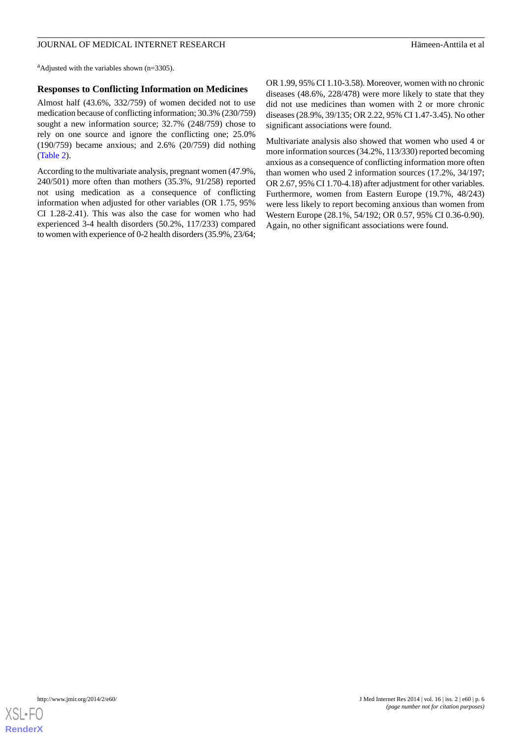<sup>a</sup>Adjusted with the variables shown ( $n=3305$ ).

### **Responses to Conflicting Information on Medicines**

Almost half (43.6%, 332/759) of women decided not to use medication because of conflicting information; 30.3% (230/759) sought a new information source; 32.7% (248/759) chose to rely on one source and ignore the conflicting one; 25.0% (190/759) became anxious; and 2.6% (20/759) did nothing ([Table 2](#page-6-0)).

According to the multivariate analysis, pregnant women (47.9%, 240/501) more often than mothers (35.3%, 91/258) reported not using medication as a consequence of conflicting information when adjusted for other variables (OR 1.75, 95% CI 1.28-2.41). This was also the case for women who had experienced 3-4 health disorders (50.2%, 117/233) compared to women with experience of 0-2 health disorders (35.9%, 23/64; OR 1.99, 95% CI 1.10-3.58). Moreover, women with no chronic diseases (48.6%, 228/478) were more likely to state that they did not use medicines than women with 2 or more chronic diseases (28.9%, 39/135; OR 2.22, 95% CI 1.47-3.45). No other significant associations were found.

Multivariate analysis also showed that women who used 4 or more information sources (34.2%, 113/330) reported becoming anxious as a consequence of conflicting information more often than women who used 2 information sources (17.2%, 34/197; OR 2.67, 95% CI 1.70-4.18) after adjustment for other variables. Furthermore, women from Eastern Europe (19.7%, 48/243) were less likely to report becoming anxious than women from Western Europe (28.1%, 54/192; OR 0.57, 95% CI 0.36-0.90). Again, no other significant associations were found.

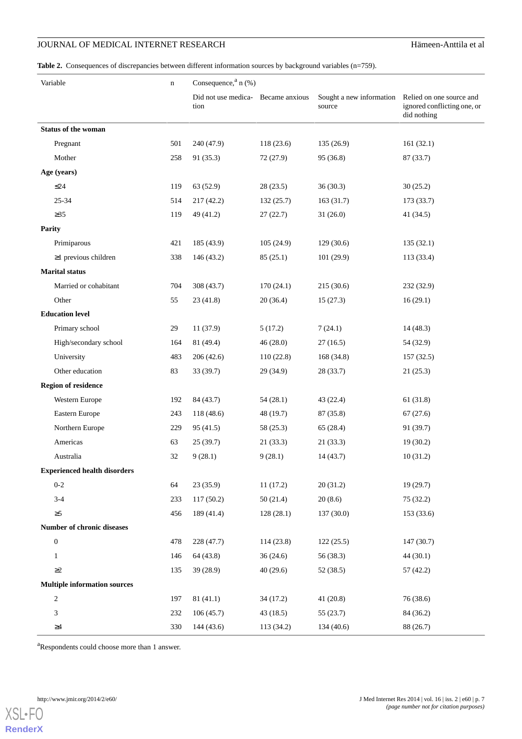<span id="page-6-0"></span>Table 2. Consequences of discrepancies between different information sources by background variables (n=759).

| Variable |                                     | $\mathbf n$ | Consequence, $a_n$ (%)                        |            |                                    |                                                                        |  |  |
|----------|-------------------------------------|-------------|-----------------------------------------------|------------|------------------------------------|------------------------------------------------------------------------|--|--|
|          |                                     |             | Did not use medica-<br>Became anxious<br>tion |            | Sought a new information<br>source | Relied on one source and<br>ignored conflicting one, or<br>did nothing |  |  |
|          | <b>Status of the woman</b>          |             |                                               |            |                                    |                                                                        |  |  |
|          | Pregnant                            | 501         | 240 (47.9)                                    | 118(23.6)  | 135(26.9)                          | 161(32.1)                                                              |  |  |
|          | Mother                              | 258         | 91 (35.3)                                     | 72(27.9)   | 95 (36.8)                          | 87 (33.7)                                                              |  |  |
|          | Age (years)                         |             |                                               |            |                                    |                                                                        |  |  |
|          | $\leq$ 24                           | 119         | 63 (52.9)                                     | 28(23.5)   | 36(30.3)                           | 30(25.2)                                                               |  |  |
|          | 25-34                               | 514         | 217(42.2)                                     | 132(25.7)  | 163(31.7)                          | 173 (33.7)                                                             |  |  |
|          | $\geq 35$                           | 119         | 49 (41.2)                                     | 27(22.7)   | 31(26.0)                           | 41(34.5)                                                               |  |  |
|          | <b>Parity</b>                       |             |                                               |            |                                    |                                                                        |  |  |
|          | Primiparous                         | 421         | 185 (43.9)                                    | 105(24.9)  | 129(30.6)                          | 135(32.1)                                                              |  |  |
|          | $\geq$ 1 previous children          | 338         | 146 (43.2)                                    | 85(25.1)   | 101(29.9)                          | 113 (33.4)                                                             |  |  |
|          | <b>Marital status</b>               |             |                                               |            |                                    |                                                                        |  |  |
|          | Married or cohabitant               | 704         | 308 (43.7)                                    | 170(24.1)  | 215(30.6)                          | 232 (32.9)                                                             |  |  |
|          | Other                               | 55          | 23(41.8)                                      | 20(36.4)   | 15(27.3)                           | 16(29.1)                                                               |  |  |
|          | <b>Education level</b>              |             |                                               |            |                                    |                                                                        |  |  |
|          | Primary school                      | 29          | 11 (37.9)                                     | 5(17.2)    | 7(24.1)                            | 14 (48.3)                                                              |  |  |
|          | High/secondary school               | 164         | 81 (49.4)                                     | 46(28.0)   | 27(16.5)                           | 54 (32.9)                                                              |  |  |
|          | University                          | 483         | 206(42.6)                                     | 110(22.8)  | 168 (34.8)                         | 157 (32.5)                                                             |  |  |
|          | Other education                     | 83          | 33 (39.7)                                     | 29 (34.9)  | 28 (33.7)                          | 21(25.3)                                                               |  |  |
|          | <b>Region of residence</b>          |             |                                               |            |                                    |                                                                        |  |  |
|          | Western Europe                      | 192         | 84 (43.7)                                     | 54(28.1)   | 43 (22.4)                          | 61 (31.8)                                                              |  |  |
|          | Eastern Europe                      | 243         | 118 (48.6)                                    | 48 (19.7)  | 87 (35.8)                          | 67(27.6)                                                               |  |  |
|          | Northern Europe                     | 229         | 95(41.5)                                      | 58 (25.3)  | 65 (28.4)                          | 91 (39.7)                                                              |  |  |
|          | Americas                            | 63          | 25(39.7)                                      | 21(33.3)   | 21(33.3)                           | 19(30.2)                                                               |  |  |
|          | Australia                           | 32          | 9(28.1)                                       | 9(28.1)    | 14(43.7)                           | 10(31.2)                                                               |  |  |
|          | <b>Experienced health disorders</b> |             |                                               |            |                                    |                                                                        |  |  |
|          | $0 - 2$                             | 64          | 23(35.9)                                      | 11(17.2)   | 20(31.2)                           | 19(29.7)                                                               |  |  |
|          | $3-4$                               | 233         | 117(50.2)                                     | 50(21.4)   | 20(8.6)                            | 75(32.2)                                                               |  |  |
|          | $\geq 5$                            | 456         | 189 (41.4)                                    | 128(28.1)  | 137(30.0)                          | 153(33.6)                                                              |  |  |
|          | Number of chronic diseases          |             |                                               |            |                                    |                                                                        |  |  |
|          | $\boldsymbol{0}$                    | 478         | 228 (47.7)                                    | 114(23.8)  | 122(25.5)                          | 147 (30.7)                                                             |  |  |
|          | $\mathbf{1}$                        | 146         | 64 (43.8)                                     | 36(24.6)   | 56 (38.3)                          | 44(30.1)                                                               |  |  |
|          | $\geq$ 2                            | 135         | 39(28.9)                                      | 40(29.6)   | 52 (38.5)                          | 57(42.2)                                                               |  |  |
|          | <b>Multiple information sources</b> |             |                                               |            |                                    |                                                                        |  |  |
|          | $\overline{\mathbf{c}}$             | 197         | 81(41.1)                                      | 34(17.2)   | 41(20.8)                           | 76 (38.6)                                                              |  |  |
|          | 3                                   | 232         | 106(45.7)                                     | 43(18.5)   | 55(23.7)                           | 84 (36.2)                                                              |  |  |
|          | $\geq 4$                            | 330         | 144 (43.6)                                    | 113 (34.2) | 134 (40.6)                         | 88 (26.7)                                                              |  |  |

<sup>a</sup>Respondents could choose more than 1 answer.

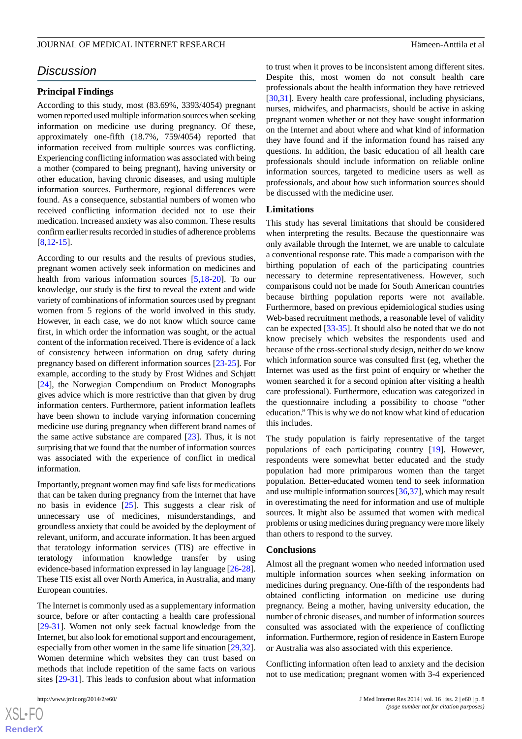# *Discussion*

### **Principal Findings**

According to this study, most (83.69%, 3393/4054) pregnant women reported used multiple information sources when seeking information on medicine use during pregnancy. Of these, approximately one-fifth (18.7%, 759/4054) reported that information received from multiple sources was conflicting. Experiencing conflicting information was associated with being a mother (compared to being pregnant), having university or other education, having chronic diseases, and using multiple information sources. Furthermore, regional differences were found. As a consequence, substantial numbers of women who received conflicting information decided not to use their medication. Increased anxiety was also common. These results confirm earlier results recorded in studies of adherence problems [[8](#page-8-6)[,12](#page-8-10)-[15\]](#page-8-13).

According to our results and the results of previous studies, pregnant women actively seek information on medicines and health from various information sources [\[5](#page-8-3),[18-](#page-9-1)[20](#page-9-2)]. To our knowledge, our study is the first to reveal the extent and wide variety of combinations of information sources used by pregnant women from 5 regions of the world involved in this study. However, in each case, we do not know which source came first, in which order the information was sought, or the actual content of the information received. There is evidence of a lack of consistency between information on drug safety during pregnancy based on different information sources [\[23](#page-9-6)-[25\]](#page-9-7). For example, according to the study by Frost Widnes and Schjøtt [[24\]](#page-9-8), the Norwegian Compendium on Product Monographs gives advice which is more restrictive than that given by drug information centers. Furthermore, patient information leaflets have been shown to include varying information concerning medicine use during pregnancy when different brand names of the same active substance are compared [\[23](#page-9-6)]. Thus, it is not surprising that we found that the number of information sources was associated with the experience of conflict in medical information.

Importantly, pregnant women may find safe lists for medications that can be taken during pregnancy from the Internet that have no basis in evidence [\[25](#page-9-7)]. This suggests a clear risk of unnecessary use of medicines, misunderstandings, and groundless anxiety that could be avoided by the deployment of relevant, uniform, and accurate information. It has been argued that teratology information services (TIS) are effective in teratology information knowledge transfer by using evidence-based information expressed in lay language [\[26](#page-9-9)-[28\]](#page-9-10). These TIS exist all over North America, in Australia, and many European countries.

The Internet is commonly used as a supplementary information source, before or after contacting a health care professional [[29](#page-9-11)[-31](#page-9-12)]. Women not only seek factual knowledge from the Internet, but also look for emotional support and encouragement, especially from other women in the same life situation [\[29](#page-9-11),[32\]](#page-9-13). Women determine which websites they can trust based on methods that include repetition of the same facts on various sites [[29-](#page-9-11)[31](#page-9-12)]. This leads to confusion about what information

 $XSJ \cdot F$ **[RenderX](http://www.renderx.com/)** to trust when it proves to be inconsistent among different sites. Despite this, most women do not consult health care professionals about the health information they have retrieved [[30,](#page-9-14)[31\]](#page-9-12). Every health care professional, including physicians, nurses, midwifes, and pharmacists, should be active in asking pregnant women whether or not they have sought information on the Internet and about where and what kind of information they have found and if the information found has raised any questions. In addition, the basic education of all health care professionals should include information on reliable online information sources, targeted to medicine users as well as professionals, and about how such information sources should be discussed with the medicine user.

### **Limitations**

This study has several limitations that should be considered when interpreting the results. Because the questionnaire was only available through the Internet, we are unable to calculate a conventional response rate. This made a comparison with the birthing population of each of the participating countries necessary to determine representativeness. However, such comparisons could not be made for South American countries because birthing population reports were not available. Furthermore, based on previous epidemiological studies using Web-based recruitment methods, a reasonable level of validity can be expected [[33-](#page-9-15)[35\]](#page-9-16). It should also be noted that we do not know precisely which websites the respondents used and because of the cross-sectional study design, neither do we know which information source was consulted first (eg, whether the Internet was used as the first point of enquiry or whether the women searched it for a second opinion after visiting a health care professional). Furthermore, education was categorized in the questionnaire including a possibility to choose "other education." This is why we do not know what kind of education this includes.

The study population is fairly representative of the target populations of each participating country [[19\]](#page-9-3). However, respondents were somewhat better educated and the study population had more primiparous women than the target population. Better-educated women tend to seek information and use multiple information sources [[36](#page-9-17)[,37](#page-9-18)], which may result in overestimating the need for information and use of multiple sources. It might also be assumed that women with medical problems or using medicines during pregnancy were more likely than others to respond to the survey.

#### **Conclusions**

Almost all the pregnant women who needed information used multiple information sources when seeking information on medicines during pregnancy. One-fifth of the respondents had obtained conflicting information on medicine use during pregnancy. Being a mother, having university education, the number of chronic diseases, and number of information sources consulted was associated with the experience of conflicting information. Furthermore, region of residence in Eastern Europe or Australia was also associated with this experience.

Conflicting information often lead to anxiety and the decision not to use medication; pregnant women with 3-4 experienced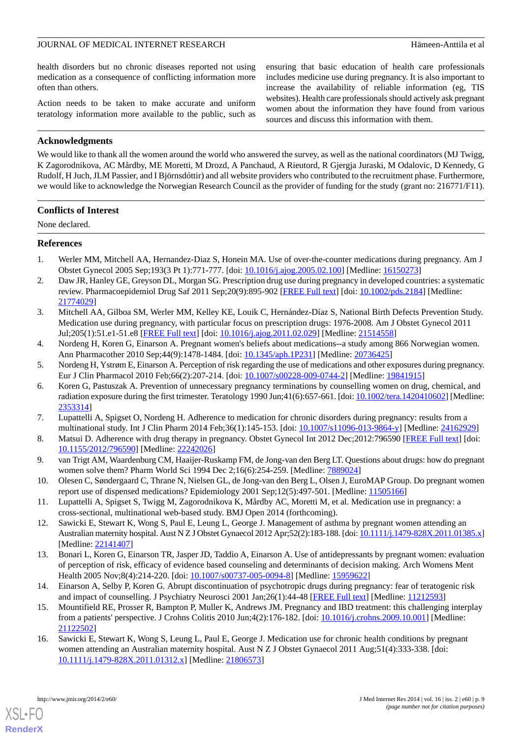health disorders but no chronic diseases reported not using medication as a consequence of conflicting information more often than others.

Action needs to be taken to make accurate and uniform teratology information more available to the public, such as ensuring that basic education of health care professionals includes medicine use during pregnancy. It is also important to increase the availability of reliable information (eg, TIS websites). Health care professionals should actively ask pregnant women about the information they have found from various sources and discuss this information with them.

### **Acknowledgments**

We would like to thank all the women around the world who answered the survey, as well as the national coordinators (MJ Twigg, K Zagorodnikova, AC Mårdby, ME Moretti, M Drozd, A Panchaud, A Rieutord, R Gjergja Juraski, M Odalovic, D Kennedy, G Rudolf, H Juch, JLM Passier, and I Björnsdóttir) and all website providers who contributed to the recruitment phase. Furthermore, we would like to acknowledge the Norwegian Research Council as the provider of funding for the study (grant no: 216771/F11).

### **Conflicts of Interest**

None declared.

### <span id="page-8-0"></span>**References**

- 1. Werler MM, Mitchell AA, Hernandez-Diaz S, Honein MA. Use of over-the-counter medications during pregnancy. Am J Obstet Gynecol 2005 Sep;193(3 Pt 1):771-777. [doi: [10.1016/j.ajog.2005.02.100\]](http://dx.doi.org/10.1016/j.ajog.2005.02.100) [Medline: [16150273](http://www.ncbi.nlm.nih.gov/entrez/query.fcgi?cmd=Retrieve&db=PubMed&list_uids=16150273&dopt=Abstract)]
- <span id="page-8-1"></span>2. Daw JR, Hanley GE, Greyson DL, Morgan SG. Prescription drug use during pregnancy in developed countries: a systematic review. Pharmacoepidemiol Drug Saf 2011 Sep;20(9):895-902 [[FREE Full text](http://europepmc.org/abstract/MED/21774029)] [doi: [10.1002/pds.2184](http://dx.doi.org/10.1002/pds.2184)] [Medline: [21774029](http://www.ncbi.nlm.nih.gov/entrez/query.fcgi?cmd=Retrieve&db=PubMed&list_uids=21774029&dopt=Abstract)]
- <span id="page-8-2"></span>3. Mitchell AA, Gilboa SM, Werler MM, Kelley KE, Louik C, Hernández-Díaz S, National Birth Defects Prevention Study. Medication use during pregnancy, with particular focus on prescription drugs: 1976-2008. Am J Obstet Gynecol 2011 Jul;205(1):51.e1-51.e8 [\[FREE Full text\]](http://europepmc.org/abstract/MED/21514558) [doi: [10.1016/j.ajog.2011.02.029](http://dx.doi.org/10.1016/j.ajog.2011.02.029)] [Medline: [21514558](http://www.ncbi.nlm.nih.gov/entrez/query.fcgi?cmd=Retrieve&db=PubMed&list_uids=21514558&dopt=Abstract)]
- <span id="page-8-4"></span><span id="page-8-3"></span>4. Nordeng H, Koren G, Einarson A. Pregnant women's beliefs about medications--a study among 866 Norwegian women. Ann Pharmacother 2010 Sep;44(9):1478-1484. [doi: [10.1345/aph.1P231](http://dx.doi.org/10.1345/aph.1P231)] [Medline: [20736425](http://www.ncbi.nlm.nih.gov/entrez/query.fcgi?cmd=Retrieve&db=PubMed&list_uids=20736425&dopt=Abstract)]
- 5. Nordeng H, Ystrøm E, Einarson A. Perception of risk regarding the use of medications and other exposures during pregnancy. Eur J Clin Pharmacol 2010 Feb;66(2):207-214. [doi: [10.1007/s00228-009-0744-2\]](http://dx.doi.org/10.1007/s00228-009-0744-2) [Medline: [19841915](http://www.ncbi.nlm.nih.gov/entrez/query.fcgi?cmd=Retrieve&db=PubMed&list_uids=19841915&dopt=Abstract)]
- <span id="page-8-6"></span><span id="page-8-5"></span>6. Koren G, Pastuszak A. Prevention of unnecessary pregnancy terminations by counselling women on drug, chemical, and radiation exposure during the first trimester. Teratology 1990 Jun;41(6):657-661. [doi: [10.1002/tera.1420410602](http://dx.doi.org/10.1002/tera.1420410602)] [Medline: [2353314\]](http://www.ncbi.nlm.nih.gov/entrez/query.fcgi?cmd=Retrieve&db=PubMed&list_uids=2353314&dopt=Abstract)
- <span id="page-8-7"></span>7. Lupattelli A, Spigset O, Nordeng H. Adherence to medication for chronic disorders during pregnancy: results from a multinational study. Int J Clin Pharm 2014 Feb;36(1):145-153. [doi: [10.1007/s11096-013-9864-y](http://dx.doi.org/10.1007/s11096-013-9864-y)] [Medline: [24162929](http://www.ncbi.nlm.nih.gov/entrez/query.fcgi?cmd=Retrieve&db=PubMed&list_uids=24162929&dopt=Abstract)]
- <span id="page-8-9"></span>8. Matsui D. Adherence with drug therapy in pregnancy. Obstet Gynecol Int 2012 Dec;2012:796590 [[FREE Full text](http://dx.doi.org/10.1155/2012/796590)] [doi: [10.1155/2012/796590\]](http://dx.doi.org/10.1155/2012/796590) [Medline: [22242026](http://www.ncbi.nlm.nih.gov/entrez/query.fcgi?cmd=Retrieve&db=PubMed&list_uids=22242026&dopt=Abstract)]
- <span id="page-8-8"></span>9. van Trigt AM, Waardenburg CM, Haaijer-Ruskamp FM, de Jong-van den Berg LT. Questions about drugs: how do pregnant women solve them? Pharm World Sci 1994 Dec 2;16(6):254-259. [Medline: [7889024](http://www.ncbi.nlm.nih.gov/entrez/query.fcgi?cmd=Retrieve&db=PubMed&list_uids=7889024&dopt=Abstract)]
- <span id="page-8-10"></span>10. Olesen C, Søndergaard C, Thrane N, Nielsen GL, de Jong-van den Berg L, Olsen J, EuroMAP Group. Do pregnant women report use of dispensed medications? Epidemiology 2001 Sep;12(5):497-501. [Medline: [11505166\]](http://www.ncbi.nlm.nih.gov/entrez/query.fcgi?cmd=Retrieve&db=PubMed&list_uids=11505166&dopt=Abstract)
- <span id="page-8-11"></span>11. Lupattelli A, Spigset S, Twigg M, Zagorodnikova K, Mårdby AC, Moretti M, et al. Medication use in pregnancy: a cross-sectional, multinational web-based study. BMJ Open 2014 (forthcoming).
- <span id="page-8-12"></span>12. Sawicki E, Stewart K, Wong S, Paul E, Leung L, George J. Management of asthma by pregnant women attending an Australian maternity hospital. Aust N Z J Obstet Gynaecol 2012 Apr;52(2):183-188. [doi: [10.1111/j.1479-828X.2011.01385.x](http://dx.doi.org/10.1111/j.1479-828X.2011.01385.x)] [Medline: [22141407](http://www.ncbi.nlm.nih.gov/entrez/query.fcgi?cmd=Retrieve&db=PubMed&list_uids=22141407&dopt=Abstract)]
- <span id="page-8-13"></span>13. Bonari L, Koren G, Einarson TR, Jasper JD, Taddio A, Einarson A. Use of antidepressants by pregnant women: evaluation of perception of risk, efficacy of evidence based counseling and determinants of decision making. Arch Womens Ment Health 2005 Nov;8(4):214-220. [doi: [10.1007/s00737-005-0094-8](http://dx.doi.org/10.1007/s00737-005-0094-8)] [Medline: [15959622](http://www.ncbi.nlm.nih.gov/entrez/query.fcgi?cmd=Retrieve&db=PubMed&list_uids=15959622&dopt=Abstract)]
- <span id="page-8-14"></span>14. Einarson A, Selby P, Koren G. Abrupt discontinuation of psychotropic drugs during pregnancy: fear of teratogenic risk and impact of counselling. J Psychiatry Neurosci 2001 Jan;26(1):44-48 [\[FREE Full text\]](http://www.cma.ca/multimedia/staticContent/HTML/N0/l2/jpn/vol-26/issue-1/pdf/pg44.pdf) [Medline: [11212593](http://www.ncbi.nlm.nih.gov/entrez/query.fcgi?cmd=Retrieve&db=PubMed&list_uids=11212593&dopt=Abstract)]
- 15. Mountifield RE, Prosser R, Bampton P, Muller K, Andrews JM. Pregnancy and IBD treatment: this challenging interplay from a patients' perspective. J Crohns Colitis 2010 Jun;4(2):176-182. [doi: [10.1016/j.crohns.2009.10.001\]](http://dx.doi.org/10.1016/j.crohns.2009.10.001) [Medline: [21122502](http://www.ncbi.nlm.nih.gov/entrez/query.fcgi?cmd=Retrieve&db=PubMed&list_uids=21122502&dopt=Abstract)]
- 16. Sawicki E, Stewart K, Wong S, Leung L, Paul E, George J. Medication use for chronic health conditions by pregnant women attending an Australian maternity hospital. Aust N Z J Obstet Gynaecol 2011 Aug;51(4):333-338. [doi: [10.1111/j.1479-828X.2011.01312.x](http://dx.doi.org/10.1111/j.1479-828X.2011.01312.x)] [Medline: [21806573\]](http://www.ncbi.nlm.nih.gov/entrez/query.fcgi?cmd=Retrieve&db=PubMed&list_uids=21806573&dopt=Abstract)



**[RenderX](http://www.renderx.com/)**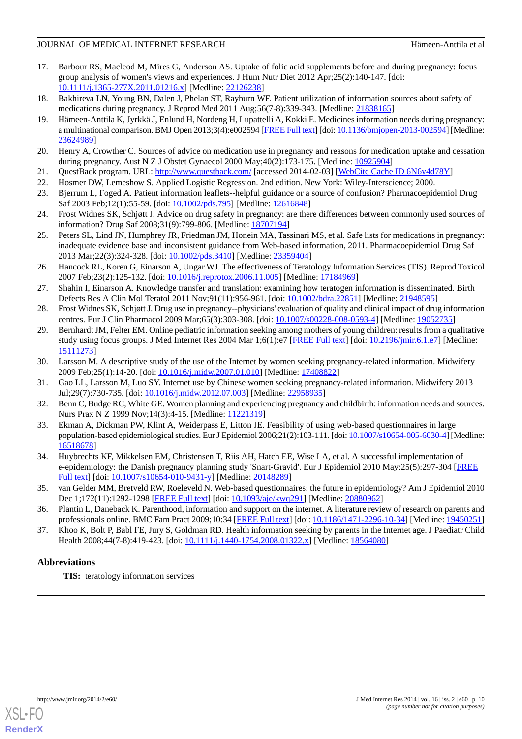- <span id="page-9-0"></span>17. Barbour RS, Macleod M, Mires G, Anderson AS. Uptake of folic acid supplements before and during pregnancy: focus group analysis of women's views and experiences. J Hum Nutr Diet 2012 Apr;25(2):140-147. [doi: [10.1111/j.1365-277X.2011.01216.x](http://dx.doi.org/10.1111/j.1365-277X.2011.01216.x)] [Medline: [22126238\]](http://www.ncbi.nlm.nih.gov/entrez/query.fcgi?cmd=Retrieve&db=PubMed&list_uids=22126238&dopt=Abstract)
- <span id="page-9-3"></span><span id="page-9-1"></span>18. Bakhireva LN, Young BN, Dalen J, Phelan ST, Rayburn WF. Patient utilization of information sources about safety of medications during pregnancy. J Reprod Med 2011 Aug;56(7-8):339-343. [Medline: [21838165](http://www.ncbi.nlm.nih.gov/entrez/query.fcgi?cmd=Retrieve&db=PubMed&list_uids=21838165&dopt=Abstract)]
- 19. Hämeen-Anttila K, Jyrkkä J, Enlund H, Nordeng H, Lupattelli A, Kokki E. Medicines information needs during pregnancy: a multinational comparison. BMJ Open 2013;3(4):e002594 [\[FREE Full text](http://bmjopen.bmj.com/cgi/pmidlookup?view=long&pmid=23624989)] [doi: [10.1136/bmjopen-2013-002594\]](http://dx.doi.org/10.1136/bmjopen-2013-002594) [Medline: [23624989](http://www.ncbi.nlm.nih.gov/entrez/query.fcgi?cmd=Retrieve&db=PubMed&list_uids=23624989&dopt=Abstract)]
- <span id="page-9-4"></span><span id="page-9-2"></span>20. Henry A, Crowther C. Sources of advice on medication use in pregnancy and reasons for medication uptake and cessation during pregnancy. Aust N Z J Obstet Gynaecol 2000 May;40(2):173-175. [Medline: [10925904\]](http://www.ncbi.nlm.nih.gov/entrez/query.fcgi?cmd=Retrieve&db=PubMed&list_uids=10925904&dopt=Abstract)
- <span id="page-9-6"></span><span id="page-9-5"></span>21. QuestBack program. URL:<http://www.questback.com/> [accessed 2014-02-03] [\[WebCite Cache ID 6N6y4d78Y](http://www.webcitation.org/

                                    6N6y4d78Y)]
- 22. Hosmer DW, Lemeshow S. Applied Logistic Regression. 2nd edition. New York: Wiley-Interscience; 2000.
- <span id="page-9-8"></span>23. Bjerrum L, Foged A. Patient information leaflets--helpful guidance or a source of confusion? Pharmacoepidemiol Drug Saf 2003 Feb;12(1):55-59. [doi: [10.1002/pds.795\]](http://dx.doi.org/10.1002/pds.795) [Medline: [12616848](http://www.ncbi.nlm.nih.gov/entrez/query.fcgi?cmd=Retrieve&db=PubMed&list_uids=12616848&dopt=Abstract)]
- <span id="page-9-7"></span>24. Frost Widnes SK, Schjøtt J. Advice on drug safety in pregnancy: are there differences between commonly used sources of information? Drug Saf 2008;31(9):799-806. [Medline: [18707194](http://www.ncbi.nlm.nih.gov/entrez/query.fcgi?cmd=Retrieve&db=PubMed&list_uids=18707194&dopt=Abstract)]
- <span id="page-9-9"></span>25. Peters SL, Lind JN, Humphrey JR, Friedman JM, Honein MA, Tassinari MS, et al. Safe lists for medications in pregnancy: inadequate evidence base and inconsistent guidance from Web-based information, 2011. Pharmacoepidemiol Drug Saf 2013 Mar;22(3):324-328. [doi: [10.1002/pds.3410](http://dx.doi.org/10.1002/pds.3410)] [Medline: [23359404](http://www.ncbi.nlm.nih.gov/entrez/query.fcgi?cmd=Retrieve&db=PubMed&list_uids=23359404&dopt=Abstract)]
- 26. Hancock RL, Koren G, Einarson A, Ungar WJ. The effectiveness of Teratology Information Services (TIS). Reprod Toxicol 2007 Feb;23(2):125-132. [doi: [10.1016/j.reprotox.2006.11.005\]](http://dx.doi.org/10.1016/j.reprotox.2006.11.005) [Medline: [17184969\]](http://www.ncbi.nlm.nih.gov/entrez/query.fcgi?cmd=Retrieve&db=PubMed&list_uids=17184969&dopt=Abstract)
- <span id="page-9-11"></span><span id="page-9-10"></span>27. Shahin I, Einarson A. Knowledge transfer and translation: examining how teratogen information is disseminated. Birth Defects Res A Clin Mol Teratol 2011 Nov;91(11):956-961. [doi: [10.1002/bdra.22851](http://dx.doi.org/10.1002/bdra.22851)] [Medline: [21948595](http://www.ncbi.nlm.nih.gov/entrez/query.fcgi?cmd=Retrieve&db=PubMed&list_uids=21948595&dopt=Abstract)]
- 28. Frost Widnes SK, Schjøtt J. Drug use in pregnancy--physicians' evaluation of quality and clinical impact of drug information centres. Eur J Clin Pharmacol 2009 Mar;65(3):303-308. [doi: [10.1007/s00228-008-0593-4](http://dx.doi.org/10.1007/s00228-008-0593-4)] [Medline: [19052735](http://www.ncbi.nlm.nih.gov/entrez/query.fcgi?cmd=Retrieve&db=PubMed&list_uids=19052735&dopt=Abstract)]
- <span id="page-9-14"></span><span id="page-9-12"></span>29. Bernhardt JM, Felter EM. Online pediatric information seeking among mothers of young children: results from a qualitative study using focus groups. J Med Internet Res 2004 Mar 1;6(1):e7 [[FREE Full text](http://www.jmir.org/2004/1/e7/)] [doi: [10.2196/jmir.6.1.e7\]](http://dx.doi.org/10.2196/jmir.6.1.e7) [Medline: [15111273](http://www.ncbi.nlm.nih.gov/entrez/query.fcgi?cmd=Retrieve&db=PubMed&list_uids=15111273&dopt=Abstract)]
- <span id="page-9-13"></span>30. Larsson M. A descriptive study of the use of the Internet by women seeking pregnancy-related information. Midwifery 2009 Feb;25(1):14-20. [doi: [10.1016/j.midw.2007.01.010](http://dx.doi.org/10.1016/j.midw.2007.01.010)] [Medline: [17408822\]](http://www.ncbi.nlm.nih.gov/entrez/query.fcgi?cmd=Retrieve&db=PubMed&list_uids=17408822&dopt=Abstract)
- <span id="page-9-15"></span>31. Gao LL, Larsson M, Luo SY. Internet use by Chinese women seeking pregnancy-related information. Midwifery 2013 Jul;29(7):730-735. [doi: [10.1016/j.midw.2012.07.003](http://dx.doi.org/10.1016/j.midw.2012.07.003)] [Medline: [22958935](http://www.ncbi.nlm.nih.gov/entrez/query.fcgi?cmd=Retrieve&db=PubMed&list_uids=22958935&dopt=Abstract)]
- 32. Benn C, Budge RC, White GE. Women planning and experiencing pregnancy and childbirth: information needs and sources. Nurs Prax N Z 1999 Nov; 14(3): 4-15. [Medline: [11221319\]](http://www.ncbi.nlm.nih.gov/entrez/query.fcgi?cmd=Retrieve&db=PubMed&list_uids=11221319&dopt=Abstract)
- <span id="page-9-16"></span>33. Ekman A, Dickman PW, Klint A, Weiderpass E, Litton JE. Feasibility of using web-based questionnaires in large population-based epidemiological studies. Eur J Epidemiol 2006;21(2):103-111. [doi: [10.1007/s10654-005-6030-4](http://dx.doi.org/10.1007/s10654-005-6030-4)] [Medline: [16518678](http://www.ncbi.nlm.nih.gov/entrez/query.fcgi?cmd=Retrieve&db=PubMed&list_uids=16518678&dopt=Abstract)]
- <span id="page-9-17"></span>34. Huybrechts KF, Mikkelsen EM, Christensen T, Riis AH, Hatch EE, Wise LA, et al. A successful implementation of e-epidemiology: the Danish pregnancy planning study 'Snart-Gravid'. Eur J Epidemiol 2010 May;25(5):297-304 [[FREE](http://europepmc.org/abstract/MED/20148289) [Full text\]](http://europepmc.org/abstract/MED/20148289) [doi: [10.1007/s10654-010-9431-y](http://dx.doi.org/10.1007/s10654-010-9431-y)] [Medline: [20148289](http://www.ncbi.nlm.nih.gov/entrez/query.fcgi?cmd=Retrieve&db=PubMed&list_uids=20148289&dopt=Abstract)]
- <span id="page-9-18"></span>35. van Gelder MM, Bretveld RW, Roeleveld N. Web-based questionnaires: the future in epidemiology? Am J Epidemiol 2010 Dec 1;172(11):1292-1298 [\[FREE Full text\]](http://aje.oxfordjournals.org/cgi/pmidlookup?view=long&pmid=20880962) [doi: [10.1093/aje/kwq291](http://dx.doi.org/10.1093/aje/kwq291)] [Medline: [20880962\]](http://www.ncbi.nlm.nih.gov/entrez/query.fcgi?cmd=Retrieve&db=PubMed&list_uids=20880962&dopt=Abstract)
- 36. Plantin L, Daneback K. Parenthood, information and support on the internet. A literature review of research on parents and professionals online. BMC Fam Pract 2009;10:34 [[FREE Full text\]](http://www.biomedcentral.com/1471-2296/10/34) [doi: [10.1186/1471-2296-10-34](http://dx.doi.org/10.1186/1471-2296-10-34)] [Medline: [19450251](http://www.ncbi.nlm.nih.gov/entrez/query.fcgi?cmd=Retrieve&db=PubMed&list_uids=19450251&dopt=Abstract)]
- 37. Khoo K, Bolt P, Babl FE, Jury S, Goldman RD. Health information seeking by parents in the Internet age. J Paediatr Child Health 2008;44(7-8):419-423. [doi: [10.1111/j.1440-1754.2008.01322.x](http://dx.doi.org/10.1111/j.1440-1754.2008.01322.x)] [Medline: [18564080](http://www.ncbi.nlm.nih.gov/entrez/query.fcgi?cmd=Retrieve&db=PubMed&list_uids=18564080&dopt=Abstract)]

# **Abbreviations**

**TIS:** teratology information services